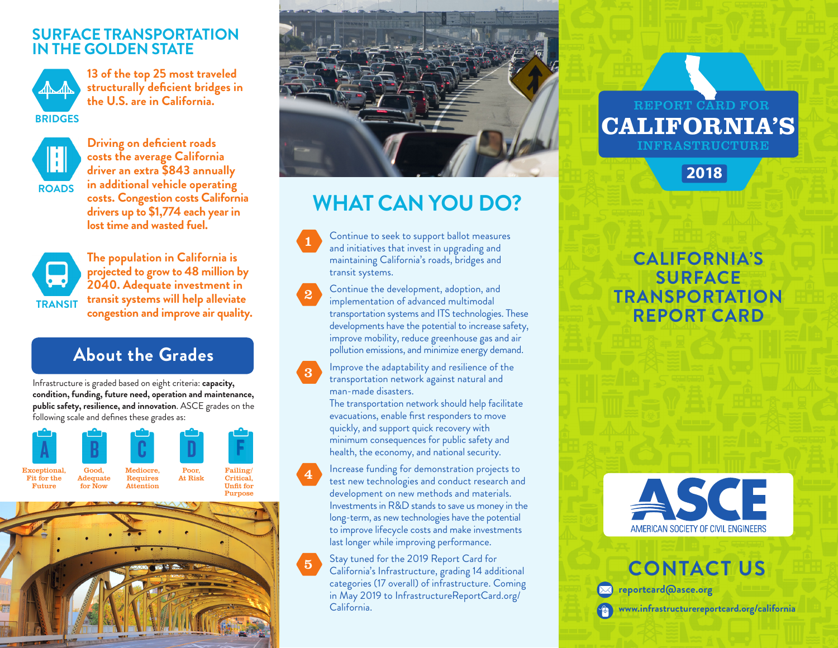#### **SURFACE TRANSPORTATION IN THE GOLDEN STATE**



**13 of the top 25 most traveled structurally deficient bridges in the U.S. are in California.**



**Driving on deficient roads costs the average California driver an extra \$843 annually in additional vehicle operating costs. Congestion costs California drivers up to \$1,774 each year in lost time and wasted fuel.**



**The population in California is projected to grow to 48 million by 2040. Adequate investment in transit systems will help alleviate congestion and improve air quality.** 

## **About the Grades**

Infrastructure is graded based on eight criteria: **capacity, condition, funding, future need, operation and maintenance, public safety, resilience, and innovation**. ASCE grades on the following scale and defines these grades as:







# **WHAT CAN YOU DO?**

Continue to seek to support ballot measures and initiatives that invest in upgrading and maintaining California's roads, bridges and transit systems.

Continue the development, adoption, and implementation of advanced multimodal transportation systems and ITS technologies. These developments have the potential to increase safety, improve mobility, reduce greenhouse gas and air pollution emissions, and minimize energy demand.

Improve the adaptability and resilience of the transportation network against natural and man-made disasters.

The transportation network should help facilitate evacuations, enable first responders to move quickly, and support quick recovery with minimum consequences for public safety and health, the economy, and national security.

Increase funding for demonstration projects to test new technologies and conduct research and development on new methods and materials. Investments in R&D stands to save us money in the long-term, as new technologies have the potential to improve lifecycle costs and make investments last longer while improving performance.

5 Stay tuned for the 2019 Report Card for California's Infrastructure, grading 14 additional categories (17 overall) of infrastructure. Coming in May 2019 to InfrastructureReportCard.org/ California.

#### REPORT CARD FOR INFRASTRUCTURE CALIFORNIA'S

**2018**

## **CALIFORNIA'S SURFACE TRANSPORTATION REPORT CARD**



**CONTACT US reportcard@asce.org www.infrastructurereportcard.org/california**